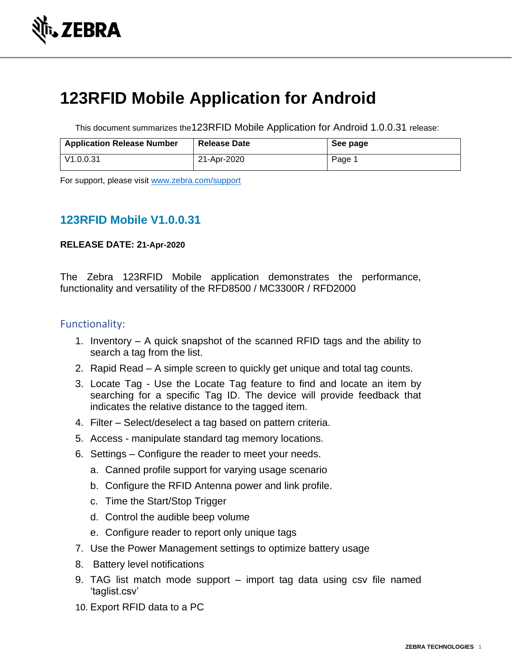

# **123RFID Mobile Application for Android**

This document summarizes the123RFID Mobile Application for Android 1.0.0.31 release:

| <b>Application Release Number</b> | <b>Release Date</b> | See page |
|-----------------------------------|---------------------|----------|
| V1.0.0.31                         | 21-Apr-2020         | Page     |

For support, please visit [www.zebra.com/support](http://www.zebra.com/support)

# **123RFID Mobile V1.0.0.31**

#### **RELEASE DATE: 21-Apr-2020**

The Zebra 123RFID Mobile application demonstrates the performance, functionality and versatility of the RFD8500 / MC3300R / RFD2000

### Functionality:

- 1. Inventory A quick snapshot of the scanned RFID tags and the ability to search a tag from the list.
- 2. Rapid Read A simple screen to quickly get unique and total tag counts.
- 3. Locate Tag Use the Locate Tag feature to find and locate an item by searching for a specific Tag ID. The device will provide feedback that indicates the relative distance to the tagged item.
- 4. Filter Select/deselect a tag based on pattern criteria.
- 5. Access manipulate standard tag memory locations.
- 6. Settings Configure the reader to meet your needs.
	- a. Canned profile support for varying usage scenario
	- b. Configure the RFID Antenna power and link profile.
	- c. Time the Start/Stop Trigger
	- d. Control the audible beep volume
	- e. Configure reader to report only unique tags
- 7. Use the Power Management settings to optimize battery usage
- 8. Battery level notifications
- 9. TAG list match mode support import tag data using csv file named 'taglist.csv'
- 10. Export RFID data to a PC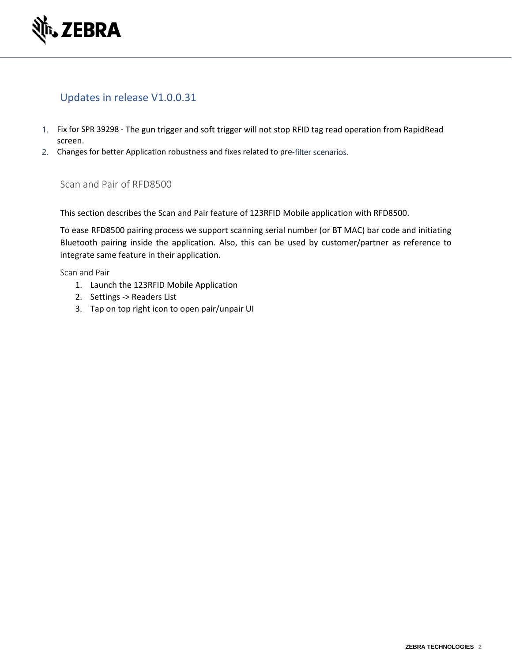

# Updates in release V1.0.0.31

- 1. Fix for SPR 39298 The gun trigger and soft trigger will not stop RFID tag read operation from RapidRead screen.
- 2. Changes for better Application robustness and fixes related to pre-filter scenarios.

#### Scan and Pair of RFD8500

This section describes the Scan and Pair feature of 123RFID Mobile application with RFD8500.

To ease RFD8500 pairing process we support scanning serial number (or BT MAC) bar code and initiating Bluetooth pairing inside the application. Also, this can be used by customer/partner as reference to integrate same feature in their application.

Scan and Pair

- 1. Launch the 123RFID Mobile Application
- 2. Settings -> Readers List
- 3. Tap on top right icon to open pair/unpair UI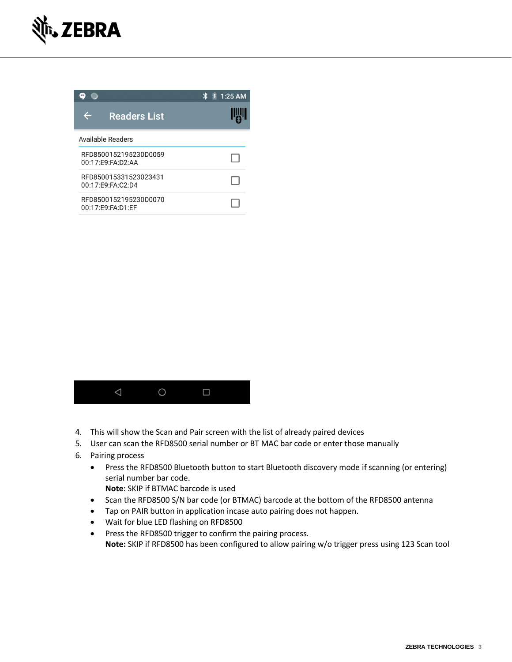





- 4. This will show the Scan and Pair screen with the list of already paired devices
- 5. User can scan the RFD8500 serial number or BT MAC bar code or enter those manually
- 6. Pairing process
	- Press the RFD8500 Bluetooth button to start Bluetooth discovery mode if scanning (or entering) serial number bar code.

**Note**: SKIP if BTMAC barcode is used

- Scan the RFD8500 S/N bar code (or BTMAC) barcode at the bottom of the RFD8500 antenna
- Tap on PAIR button in application incase auto pairing does not happen.
- Wait for blue LED flashing on RFD8500
- Press the RFD8500 trigger to confirm the pairing process. **Note:** SKIP if RFD8500 has been configured to allow pairing w/o trigger press using 123 Scan tool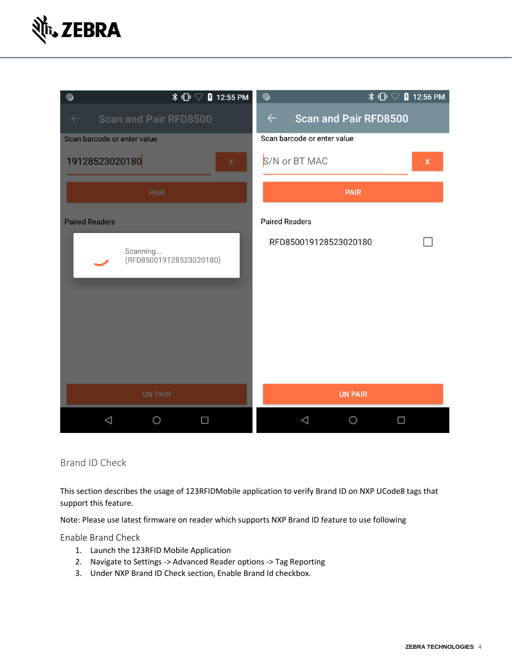



Brand ID Check

This section describes the usage of 123RFIDMobile application to verify Brand ID on NXP UCode8 tags that support this feature.

Note: Please use latest firmware on reader which supports NXP Brand ID feature to use following

Enable Brand Check

- 1. Launch the 123RFID Mobile Application
- 2. Navigate to Settings -> Advanced Reader options -> Tag Reporting
- 3. Under NXP Brand ID Check section, Enable Brand Id checkbox.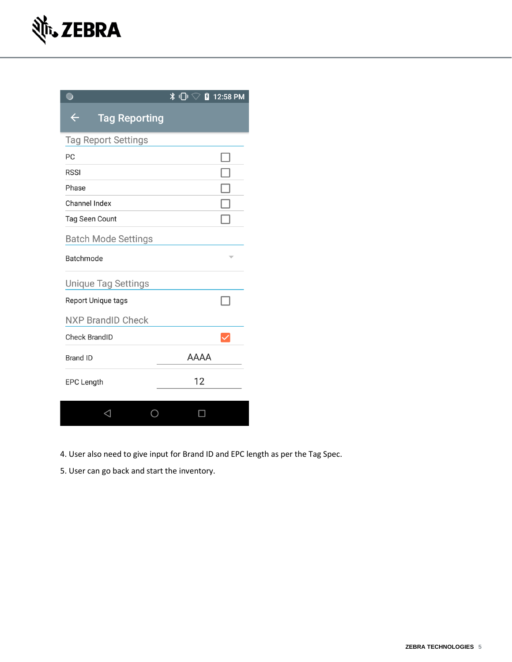|                                      | $\overline{\ast}$ $\overline{\mathbb{L}}$<br>F<br>12:58 PM |
|--------------------------------------|------------------------------------------------------------|
| $\leftarrow$<br><b>Tag Reporting</b> |                                                            |
| <b>Tag Report Settings</b>           |                                                            |
| PC                                   |                                                            |
| <b>RSSI</b>                          |                                                            |
| Phase                                |                                                            |
| Channel Index                        |                                                            |
| <b>Tag Seen Count</b>                |                                                            |
| <b>Batch Mode Settings</b>           |                                                            |
| Batchmode                            |                                                            |
| <b>Unique Tag Settings</b>           |                                                            |
| Report Unique tags                   |                                                            |
| <b>NXP BrandID Check</b>             |                                                            |
| <b>Check BrandID</b>                 |                                                            |
| <b>Brand ID</b>                      | <b>AAAA</b>                                                |
| <b>EPC Length</b>                    | 12                                                         |
|                                      |                                                            |
|                                      |                                                            |

- 4. User also need to give input for Brand ID and EPC length as per the Tag Spec.
- 5. User can go back and start the inventory.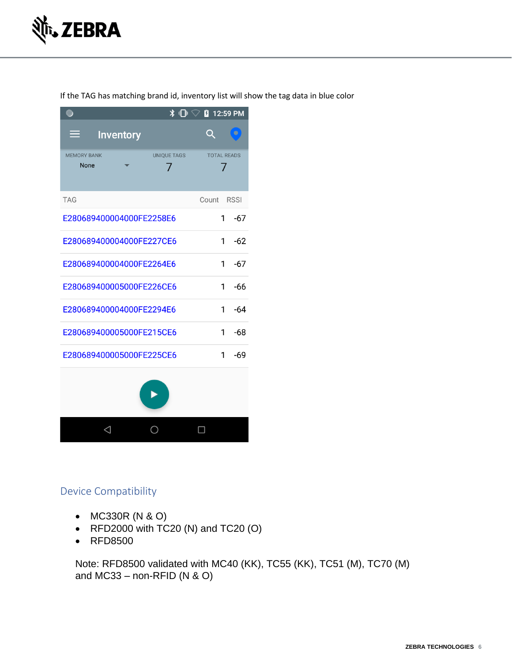

 $\overline{\ast}$   $\overline{\mathbb{D}}$   $\heartsuit$  $12:59 \text{ PM}$  $\bigcirc$  $Q$ **Inventory** ≡ **MEMORY BANK** UNIQUE TAGS **TOTAL READS** None  $\overline{7}$ 7 **TAG** Count RSSI E280689400004000FE2258E6  $1 - 67$ E280689400004000FE227CE6  $1$  $-62$ E280689400004000FE2264E6  $1 - 67$ E280689400005000FE226CE6  $1 -66$ E280689400004000FE2294E6  $\mathbf{1}$  $-64$ E280689400005000FE215CE6  $1 -68$ E280689400005000FE225CE6  $-69$  $\mathbf{1}$ 



# Device Compatibility

- MC330R (N & O)
- RFD2000 with TC20 (N) and TC20 (O)
- RFD8500

Note: RFD8500 validated with MC40 (KK), TC55 (KK), TC51 (M), TC70 (M) and  $MC33$  – non-RFID (N & O)

If the TAG has matching brand id, inventory list will show the tag data in blue color